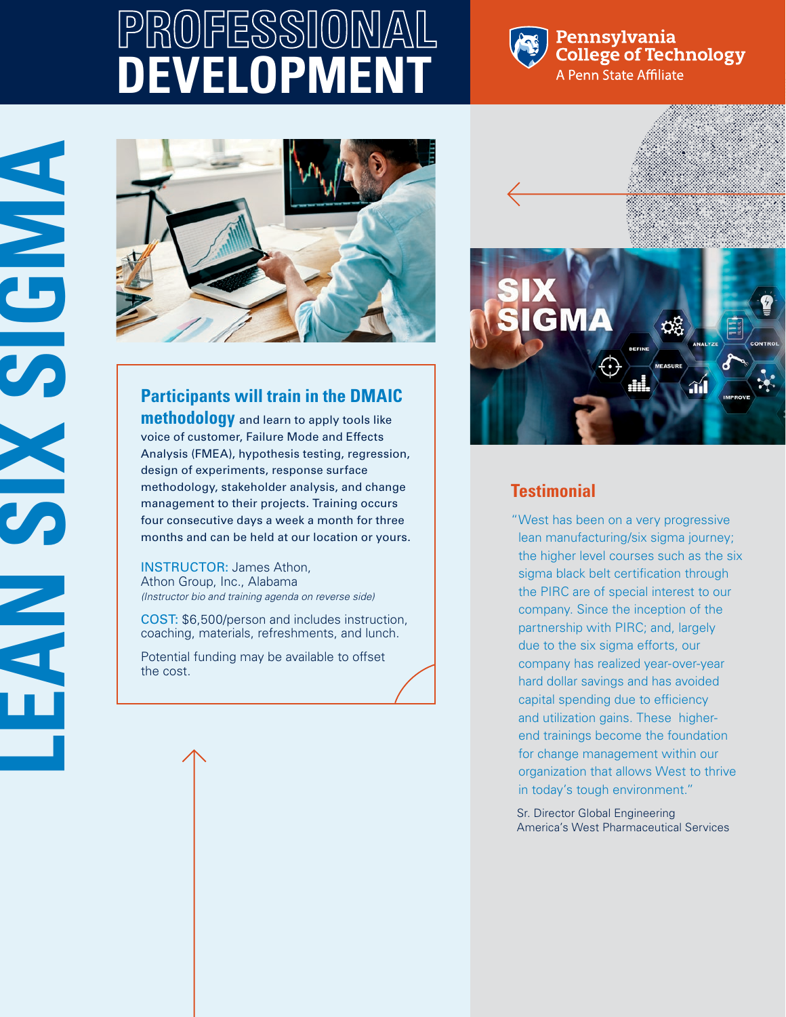# **PROFESSIONAL DEVELOPMEN**



### Pennsylvania **College of Technology** A Penn State Affiliate



# **Participants will train in the DMAIC**

**methodology** and learn to apply tools like voice of customer, Failure Mode and Effects Analysis (FMEA), hypothesis testing, regression, design of experiments, response surface methodology, stakeholder analysis, and change management to their projects. Training occurs four consecutive days a week a month for three months and can be held at our location or yours.

INSTRUCTOR: James Athon, Athon Group, Inc., Alabama *(Instructor bio and training agenda on reverse side)*

COST: \$6,500/person and includes instruction, coaching, materials, refreshments, and lunch.

Potential funding may be available to offset the cost.



# **Testimonial**

"West has been on a very progressive lean manufacturing/six sigma journey; the higher level courses such as the six sigma black belt certification through the PIRC are of special interest to our company. Since the inception of the partnership with PIRC; and, largely due to the six sigma efforts, our company has realized year-over-year hard dollar savings and has avoided capital spending due to efficiency and utilization gains. These higherend trainings become the foundation for change management within our organization that allows West to thrive in today's tough environment."

Sr. Director Global Engineering America's West Pharmaceutical Services